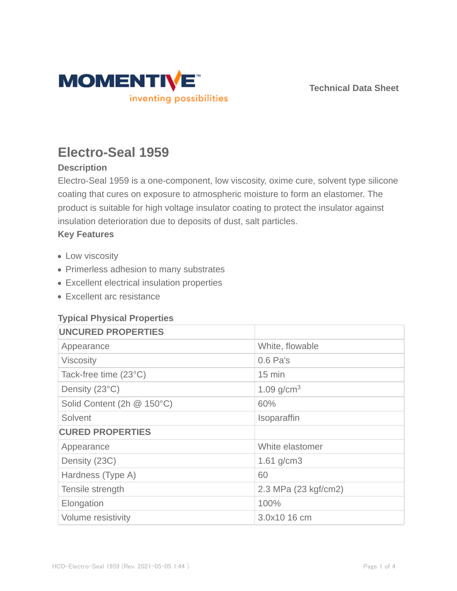

**Technical Data Sheet**

# **Electro-Seal 1959**

# **Description**

Electro-Seal 1959 is a one-component, low viscosity, oxime cure, solvent type silicone coating that cures on exposure to atmospheric moisture to form an elastomer. The product is suitable for high voltage insulator coating to protect the insulator against insulation deterioration due to deposits of dust, salt particles.

#### **Key Features**

- Low viscosity
- Primerless adhesion to many substrates
- Excellent electrical insulation properties
- Excellent arc resistance

## **Typical Physical Properties**

| <b>UNCURED PROPERTIES</b>  |                      |  |
|----------------------------|----------------------|--|
| Appearance                 | White, flowable      |  |
| <b>Viscosity</b>           | $0.6$ Pa's           |  |
| Tack-free time (23°C)      | $15 \text{ min}$     |  |
| Density (23°C)             | 1.09 $g/cm^{3}$      |  |
| Solid Content (2h @ 150°C) | 60%                  |  |
| Solvent                    | Isoparaffin          |  |
| <b>CURED PROPERTIES</b>    |                      |  |
| Appearance                 | White elastomer      |  |
| Density (23C)              | 1.61 $g/cm3$         |  |
| Hardness (Type A)          | 60                   |  |
| Tensile strength           | 2.3 MPa (23 kgf/cm2) |  |
| Elongation                 | 100%                 |  |
| Volume resistivity         | 3.0x10 16 cm         |  |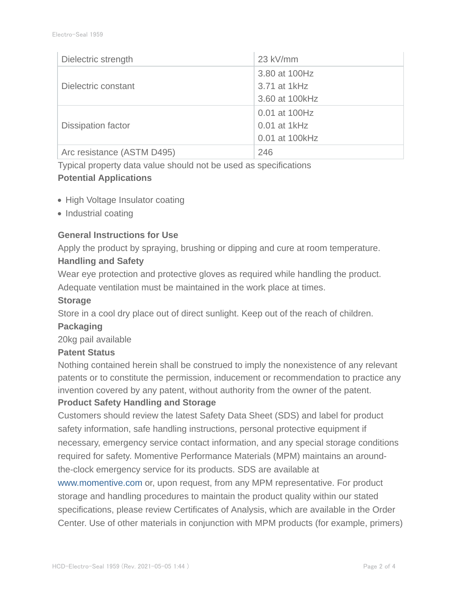| Dielectric strength        | 23 kV/mm        |
|----------------------------|-----------------|
|                            | 3.80 at 100Hz   |
| Dielectric constant        | 3.71 at 1kHz    |
|                            | 3.60 at 100 kHz |
|                            | 0.01 at 100Hz   |
| <b>Dissipation factor</b>  | $0.01$ at 1kHz  |
|                            | 0.01 at 100kHz  |
| Arc resistance (ASTM D495) | 246             |

Typical property data value should not be used as specifications

# **Potential Applications**

- High Voltage Insulator coating
- Industrial coating

## **General Instructions for Use**

Apply the product by spraying, brushing or dipping and cure at room temperature.

# **Handling and Safety**

Wear eye protection and protective gloves as required while handling the product.

Adequate ventilation must be maintained in the work place at times.

## **Storage**

Store in a cool dry place out of direct sunlight. Keep out of the reach of children.

## **Packaging**

20kg pail available

## **Patent Status**

Nothing contained herein shall be construed to imply the nonexistence of any relevant patents or to constitute the permission, inducement or recommendation to practice any invention covered by any patent, without authority from the owner of the patent.

## **Product Safety Handling and Storage**

Customers should review the latest Safety Data Sheet (SDS) and label for product safety information, safe handling instructions, personal protective equipment if necessary, emergency service contact information, and any special storage conditions required for safety. Momentive Performance Materials (MPM) maintains an aroundthe-clock emergency service for its products. SDS are available at

www.momentive.com or, upon request, from any MPM representative. For product storage and handling procedures to maintain the product quality within our stated specifications, please review Certificates of Analysis, which are available in the Order Center. Use of other materials in conjunction with MPM products (for example, primers)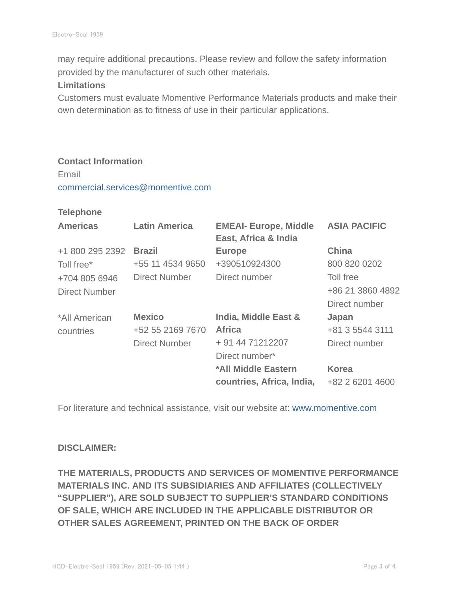may require additional precautions. Please review and follow the safety information provided by the manufacturer of such other materials.

#### **Limitations**

Customers must evaluate Momentive Performance Materials products and make their own determination as to fitness of use in their particular applications.

#### **Contact Information**

Email commercial.services@momentive.com

#### **Telephone**

| <b>Americas</b> | <b>Latin America</b> | <b>EMEAI- Europe, Middle</b><br>East, Africa & India | <b>ASIA PACIFIC</b> |
|-----------------|----------------------|------------------------------------------------------|---------------------|
| +1 800 295 2392 | <b>Brazil</b>        | <b>Europe</b>                                        | <b>China</b>        |
| Toll free*      | +55 11 4534 9650     | +390510924300                                        | 800 820 0202        |
| +704 805 6946   | <b>Direct Number</b> | Direct number                                        | Toll free           |
| Direct Number   |                      |                                                      | +86 21 3860 4892    |
|                 |                      |                                                      | Direct number       |
| *All American   | <b>Mexico</b>        | India, Middle East &                                 | Japan               |
| countries       | +52 55 2169 7670     | <b>Africa</b>                                        | +81 3 5544 3111     |
|                 | <b>Direct Number</b> | + 91 44 71212207                                     | Direct number       |
|                 |                      | Direct number*                                       |                     |
|                 |                      | *All Middle Eastern                                  | <b>Korea</b>        |
|                 |                      | countries, Africa, India,                            | +82 2 6201 4600     |

For literature and technical assistance, visit our website at: www.momentive.com

#### **DISCLAIMER:**

**THE MATERIALS, PRODUCTS AND SERVICES OF MOMENTIVE PERFORMANCE MATERIALS INC. AND ITS SUBSIDIARIES AND AFFILIATES (COLLECTIVELY "SUPPLIER"), ARE SOLD SUBJECT TO SUPPLIER'S STANDARD CONDITIONS OF SALE, WHICH ARE INCLUDED IN THE APPLICABLE DISTRIBUTOR OR OTHER SALES AGREEMENT, PRINTED ON THE BACK OF ORDER**